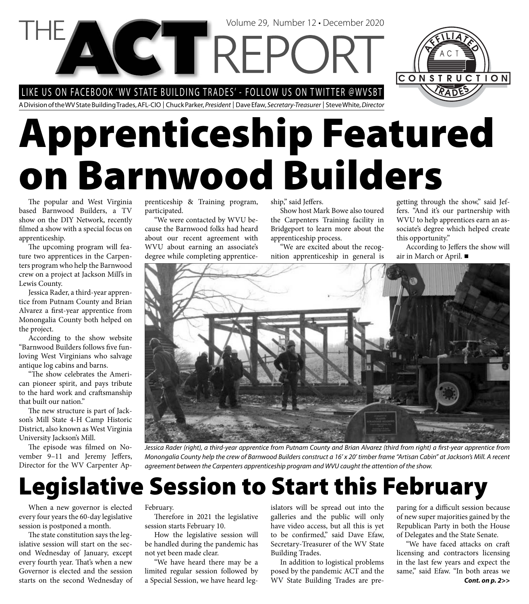LIKE US ON FACEBOOK 'WV STATE BUILDING TRADES' - FOLLOW US ON TWITTER @WVSBT

A Division of the WV State Building Trades, AFL-CIO | Chuck Parker, President | Dave Efaw, Secretary-Treasurer | Steve White, Director

# **Apprenticeship Featured on Barnwood Builders**

Volume 29, Number 12 • December 2020

The popular and West Virginia based Barnwood Builders, a TV show on the DIY Network, recently filmed a show with a special focus on apprenticeship.

The upcoming program will feature two apprentices in the Carpenters program who help the Barnwood crew on a project at Jackson Mill's in Lewis County.

Jessica Rader, a third-year apprentice from Putnam County and Brian Alvarez a first-year apprentice from Monongalia County both helped on the project.

According to the show website "Barnwood Builders follows five funloving West Virginians who salvage antique log cabins and barns.

"The show celebrates the American pioneer spirit, and pays tribute to the hard work and craftsmanship that built our nation."

The new structure is part of Jackson's Mill State 4-H Camp Historic District, also known as West Virginia University Jackson's Mill.

The episode was filmed on November 9-11 and Jeremy Jeffers, Director for the WV Carpenter Apprenticeship & Training program, participated.

"We were contacted by WVU because the Barnwood folks had heard about our recent agreement with WVU about earning an associate's degree while completing apprenticeship," said Jeffers.

Show host Mark Bowe also toured the Carpenters Training facility in Bridgeport to learn more about the apprenticeship process.

"We are excited about the recognition apprenticeship in general is getting through the show," said Jeffers. "And it's our partnership with WVU to help apprentices earn an associate's degree which helped create this opportunity."

According to Jeffers the show will air in March or April.



Jessica Rader (right), a third-year apprentice from Putnam County and Brian Alvarez (third from right) a first-year apprentice from Monongalia County help the crew of Barnwood Builders construct a 16' x 20' timber frame "Artisan Cabin" at Jackson's Mill. A recent agreement between the Carpenters apprenticeship program and WVU caught the attention of the show.

### **Legislative Session to Start this February**

When a new governor is elected every four years the 60-day legislative session is postponed a month.

The state constitution says the legislative session will start on the second Wednesday of January, except every fourth year. That's when a new Governor is elected and the session starts on the second Wednesday of February.

Therefore in 2021 the legislative session starts February 10.

How the legislative session will be handled during the pandemic has not yet been made clear.

"We have heard there may be a limited regular session followed by a Special Session, we have heard legislators will be spread out into the galleries and the public will only have video access, but all this is yet to be confirmed," said Dave Efaw, Secretary-Treasurer of the WV State Building Trades.

In addition to logistical problems posed by the pandemic ACT and the WV State Building Trades are pre-

paring for a difficult session because of new super majorities gained by the Republican Party in both the House of Delegates and the State Senate.

*Cont. on p. 2>>* "We have faced attacks on craft licensing and contractors licensing in the last few years and expect the same," said Efaw. "In both areas we

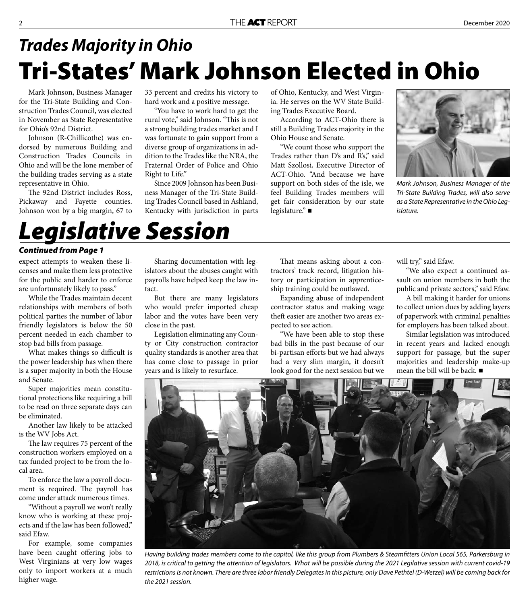#### **Tri-States' Mark Johnson Elected in Ohio** *Trades Majority in Ohio*

Mark Johnson, Business Manager for the Tri-State Building and Construction Trades Council, was elected in November as State Representative for Ohio's 92nd District.

Johnson (R-Chillicothe) was endorsed by numerous Building and Construction Trades Councils in Ohio and will be the lone member of the building trades serving as a state representative in Ohio.

The 92nd District includes Ross, Pickaway and Fayette counties. Johnson won by a big margin, 67 to

33 percent and credits his victory to hard work and a positive message.

"You have to work hard to get the rural vote," said Johnson. "This is not a strong building trades market and I was fortunate to gain support from a diverse group of organizations in addition to the Trades like the NRA, the Fraternal Order of Police and Ohio Right to Life."

Since 2009 Johnson has been Business Manager of the Tri-State Building Trades Council based in Ashland, Kentucky with jurisdiction in parts

of Ohio, Kentucky, and West Virginia. He serves on the WV State Building Trades Executive Board.

According to ACT-Ohio there is still a Building Trades majority in the Ohio House and Senate.

"We count those who support the Trades rather than D's and R's," said Matt Szollosi, Executive Director of ACT-Ohio. "And because we have support on both sides of the isle, we feel Building Trades members will get fair consideration by our state legislature." ■



Mark Johnson, Business Manager of the Tri-State Building Trades, will also serve as a State Representative in the Ohio Legislature.

### *Legislative Session*

#### *Continued from Page 1*

expect attempts to weaken these licenses and make them less protective for the public and harder to enforce are unfortunately likely to pass."

While the Trades maintain decent relationships with members of both political parties the number of labor friendly legislators is below the 50 percent needed in each chamber to stop bad bills from passage.

What makes things so difficult is the power leadership has when there is a super majority in both the House and Senate.

Super majorities mean constitutional protections like requiring a bill to be read on three separate days can be eliminated.

Another law likely to be attacked is the WV Jobs Act.

The law requires 75 percent of the construction workers employed on a tax funded project to be from the local area.

To enforce the law a payroll document is required. The payroll has come under attack numerous times.

"Without a payroll we won't really know who is working at these projects and if the law has been followed," said Efaw.

For example, some companies have been caught offering jobs to West Virginians at very low wages only to import workers at a much higher wage.

Sharing documentation with legislators about the abuses caught with payrolls have helped keep the law intact.

But there are many legislators who would prefer imported cheap labor and the votes have been very close in the past.

Legislation eliminating any County or City construction contractor quality standards is another area that has come close to passage in prior years and is likely to resurface.

That means asking about a contractors' track record, litigation history or participation in apprenticeship training could be outlawed.

Expanding abuse of independent contractor status and making wage theft easier are another two areas expected to see action.

"We have been able to stop these bad bills in the past because of our bi-partisan efforts but we had always had a very slim margin, it doesn't look good for the next session but we

will try," said Efaw.

"We also expect a continued assault on union members in both the public and private sectors," said Efaw.

A bill making it harder for unions to collect union dues by adding layers of paperwork with criminal penalties for employers has been talked about.

Similar legislation was introduced in recent years and lacked enough support for passage, but the super majorities and leadership make-up mean the bill will be back.



Having building trades members come to the capitol, like this group from Plumbers & Steamfitters Union Local 565, Parkersburg in 2018, is critical to getting the attention of legislators. What will be possible during the 2021 Legilative session with current covid-19 restrictions is not known. There are three labor friendly Delegates in this picture, only Dave Pethtel (D-Wetzel) will be coming back for the 2021 session.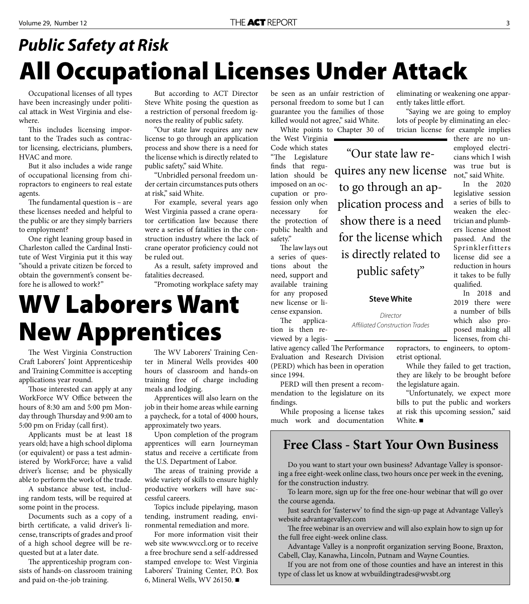#### **All Occupational Licenses Under Attack** *Public Safety at Risk*

Occupational licenses of all types have been increasingly under political attack in West Virginia and elsewhere.

This includes licensing important to the Trades such as contractor licensing, electricians, plumbers, HVAC and more.

But it also includes a wide range of occupational licensing from chiropractors to engineers to real estate agents.

The fundamental question is  $-$  are these licenses needed and helpful to the public or are they simply barriers to employment?

One right leaning group based in Charleston called the Cardinal Institute of West Virginia put it this way "should a private citizen be forced to obtain the government's consent before he is allowed to work?"

But according to ACT Director Steve White posing the question as a restriction of personal freedom ignores the reality of public safety.

"Our state law requires any new license to go through an application process and show there is a need for the license which is directly related to public safety," said White.

"Unbridled personal freedom under certain circumstances puts others at risk," said White.

For example, several years ago West Virginia passed a crane operator certification law because there were a series of fatalities in the construction industry where the lack of crane operator proficiency could not be ruled out.

As a result, safety improved and fatalities decreased.

"Promoting workplace safety may

#### **WV Laborers Want New Apprentices**

The West Virginia Construction Craft Laborers' Joint Apprenticeship and Training Committee is accepting applications year round.

Those interested can apply at any WorkForce WV Office between the hours of 8:30 am and 5:00 pm Monday through Thursday and 9:00 am to 5:00 pm on Friday (call first).

Applicants must be at least 18 years old; have a high school diploma (or equivalent) or pass a test administered by WorkForce; have a valid driver's license; and be physically able to perform the work of the trade.

A substance abuse test, including random tests, will be required at some point in the process.

Documents such as a copy of a birth certificate, a valid driver's license, transcripts of grades and proof of a high school degree will be requested but at a later date.

The apprenticeship program consists of hands-on classroom training and paid on-the-job training.

The WV Laborers' Training Center in Mineral Wells provides 400 hours of classroom and hands-on training free of charge including meals and lodging.

Apprentices will also learn on the job in their home areas while earning a paycheck, for a total of 4000 hours, approximately two years.

Upon completion of the program apprentices will earn Journeyman status and receive a certificate from the U.S. Department of Labor.

The areas of training provide a wide variety of skills to ensure highly productive workers will have successful careers.

Topics include pipelaying, mason tending, instrument reading, environmental remediation and more.

For more information visit their web site www.wvccl.org or to receive a free brochure send a self-addressed stamped envelope to: West Virginia Laborers' Training Center, P.O. Box 6, Mineral Wells, WV 26150.

be seen as an unfair restriction of personal freedom to some but I can guarantee you the families of those killed would not agree," said White.

White points to Chapter 30 of

the West Virginia Code which states "The Legislature finds that regulation should be imposed on an occupation or profession only when necessary for the protection of public health and safety." The law lays out

a series of questions about the need, support and available training for any proposed new license or license expansion.

The application is then reviewed by a legis-

lative agency called The Performance Evaluation and Research Division (PERD) which has been in operation since 1994.

PERD will then present a recommendation to the legislature on its findings.

While proposing a license takes much work and documentation

#### **Free Class - Start Your Own Business**

show there is a need

for the license which

is directly related to

public safety"

**Steve White** 

Director Affiliated Construction Trades

Do you want to start your own business? Advantage Valley is sponsoring a free eight-week online class, two hours once per week in the evening, for the construction industry.

To learn more, sign up for the free one-hour webinar that will go over the course agenda.

Just search for 'fasterwv' to find the sign-up page at Advantage Valley's website advantagevalley.com

The free webinar is an overview and will also explain how to sign up for the full free eight-week online class.

Advantage Valley is a nonprofit organization serving Boone, Braxton, Cabell, Clay, Kanawha, Lincoln, Putnam and Wayne Counties.

If you are not from one of those counties and have an interest in this type of class let us know at wvbuildingtrades@wvsbt.org

eliminating or weakening one apparently takes little effort.

"Saying we are going to employ lots of people by eliminating an electrician license for example implies

"Our state law requires any new license to go through an application process and there are no unemployed electricians which I wish was true but is not," said White. In the 2020 legislative session

a series of bills to weaken the electrician and plumbers license almost passed. And the Sprinklerfitters license did see a reduction in hours it takes to be fully qualified.

In 2018 and 2019 there were a number of bills which also proposed making all licenses, from chi-

ropractors, to engineers, to optometrist optional.

While they failed to get traction, they are likely to be brought before the legislature again.

"Unfortunately, we expect more bills to put the public and workers at risk this upcoming session," said White. ■